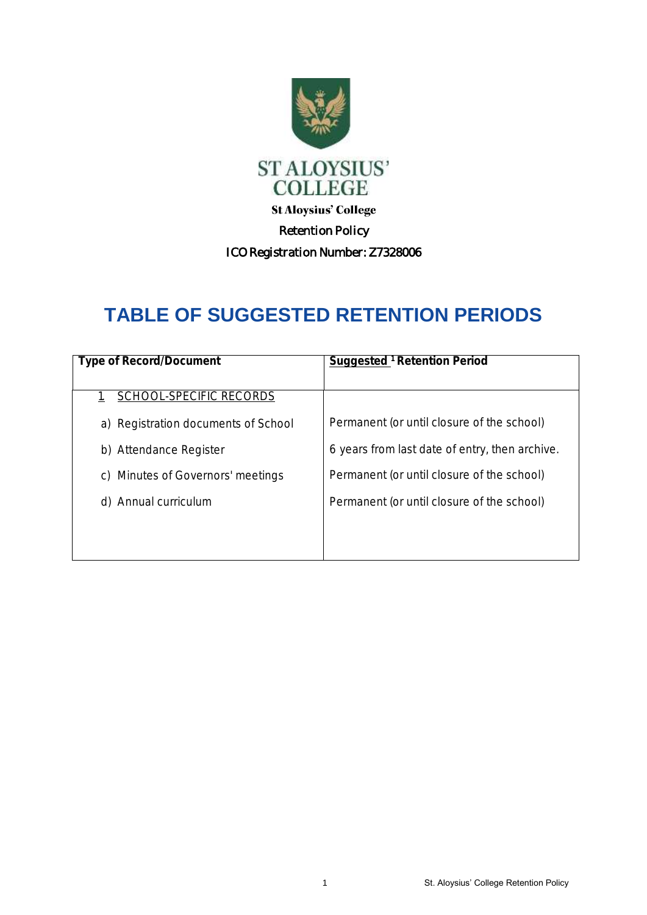

## **TABLE OF SUGGESTED RETENTION PERIODS**

| Type of Record/Document              | Suggested <sup>1</sup> Retention Period        |
|--------------------------------------|------------------------------------------------|
|                                      |                                                |
| SCHOOL-SPECIFIC RECORDS              |                                                |
| a) Registration documents of School  | Permanent (or until closure of the school)     |
| b) Attendance Register               | 6 years from last date of entry, then archive. |
| Minutes of Governors' meetings<br>C) | Permanent (or until closure of the school)     |
| Annual curriculum<br>d)              | Permanent (or until closure of the school)     |
|                                      |                                                |
|                                      |                                                |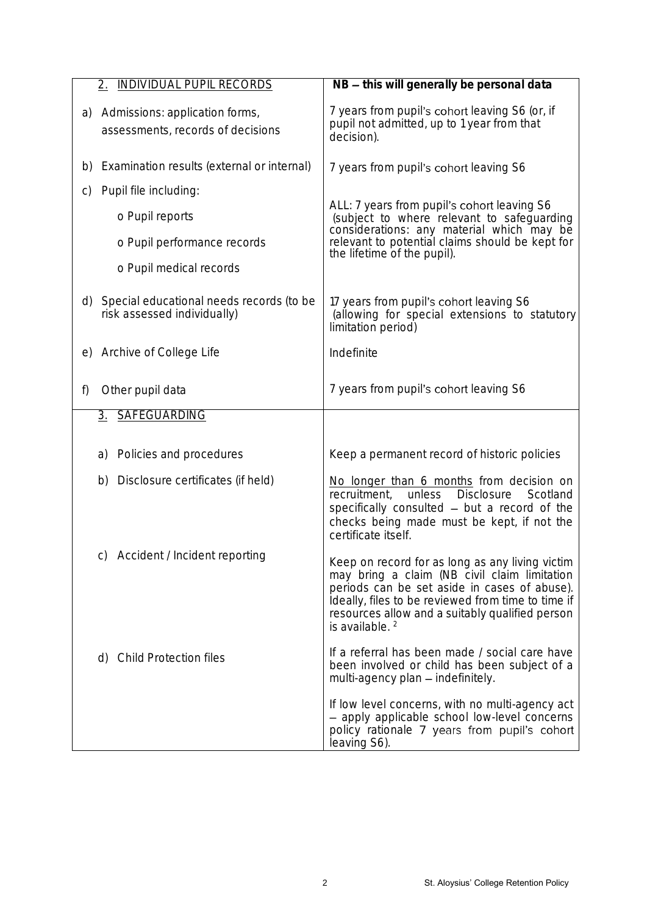| <b>INDIVIDUAL PUPIL RECORDS</b><br>$\overline{2}$ .                        | NB - this will generally be personal data                                                                                                                                                                                                                                              |
|----------------------------------------------------------------------------|----------------------------------------------------------------------------------------------------------------------------------------------------------------------------------------------------------------------------------------------------------------------------------------|
| Admissions: application forms,<br>a)<br>assessments, records of decisions  | 7 years from pupil's cohort leaving S6 (or, if<br>pupil not admitted, up to 1 year from that<br>decision).                                                                                                                                                                             |
| Examination results (external or internal)<br>b)                           | 7 years from pupil's cohort leaving S6                                                                                                                                                                                                                                                 |
| Pupil file including:<br>$\mathsf{C}$                                      |                                                                                                                                                                                                                                                                                        |
| o Pupil reports                                                            | ALL: 7 years from pupil's cohort leaving S6<br>(subject to where relevant to safeguarding                                                                                                                                                                                              |
| o Pupil performance records                                                | considerations: any material which may be<br>relevant to potential claims should be kept for<br>the lifetime of the pupil).                                                                                                                                                            |
| o Pupil medical records                                                    |                                                                                                                                                                                                                                                                                        |
| d) Special educational needs records (to be<br>risk assessed individually) | 17 years from pupil's cohort leaving S6<br>(allowing for special extensions to statutory<br>limitation period)                                                                                                                                                                         |
| e) Archive of College Life                                                 | Indefinite                                                                                                                                                                                                                                                                             |
| Other pupil data<br>f)                                                     | 7 years from pupil's cohort leaving S6                                                                                                                                                                                                                                                 |
| 3. SAFEGUARDING                                                            |                                                                                                                                                                                                                                                                                        |
| Policies and procedures<br>a)                                              | Keep a permanent record of historic policies                                                                                                                                                                                                                                           |
| Disclosure certificates (if held)<br>b)                                    | No longer than 6 months from decision on<br>unless<br><b>Disclosure</b><br>recruitment,<br>Scotland<br>specifically consulted - but a record of the<br>checks being made must be kept, if not the<br>certificate itself.                                                               |
| Accident / Incident reporting<br>C)                                        | Keep on record for as long as any living victim<br>may bring a claim (NB civil claim limitation<br>periods can be set aside in cases of abuse).<br>Ideally, files to be reviewed from time to time if<br>resources allow and a suitably qualified person<br>is available. <sup>2</sup> |
| <b>Child Protection files</b><br>d)                                        | If a referral has been made / social care have<br>been involved or child has been subject of a<br>multi-agency plan - indefinitely.                                                                                                                                                    |
|                                                                            | If low level concerns, with no multi-agency act<br>- apply applicable school low-level concerns<br>policy rationale 7 years from pupil's cohort<br>leaving S6).                                                                                                                        |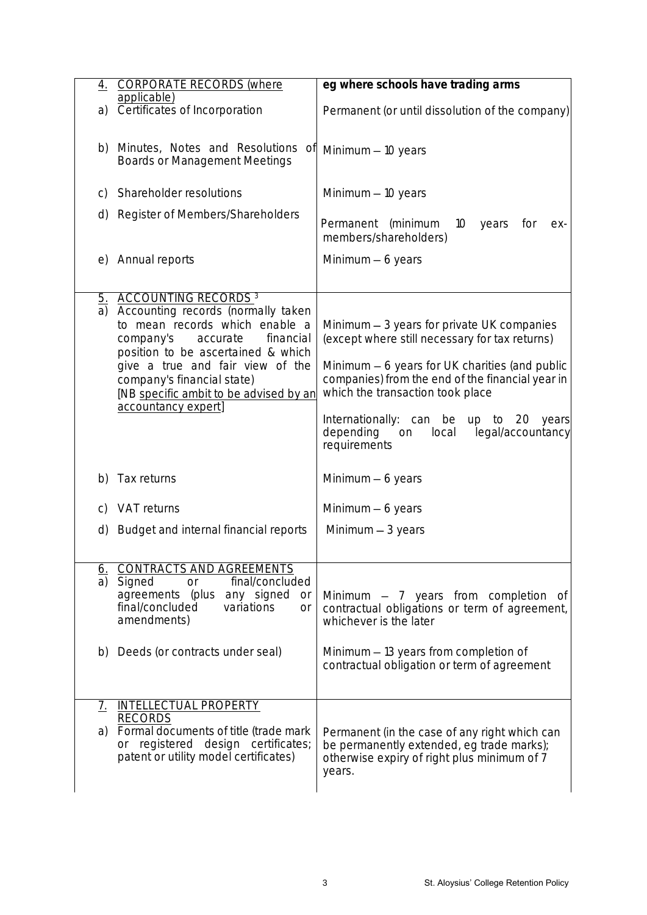| 4.            | <b>CORPORATE RECORDS (where</b><br>applicable)                            | eg where schools have trading arms                                                           |
|---------------|---------------------------------------------------------------------------|----------------------------------------------------------------------------------------------|
| a)            | Certificates of Incorporation                                             | Permanent (or until dissolution of the company)                                              |
|               |                                                                           |                                                                                              |
| b)            | Minutes, Notes and Resolutions of<br><b>Boards or Management Meetings</b> | Minimum $-10$ years                                                                          |
|               |                                                                           |                                                                                              |
| $\mathsf{C}$  | Shareholder resolutions                                                   | Minimum $-10$ years                                                                          |
| (d)           | Register of Members/Shareholders                                          | Permanent (minimum<br>10 <sup>°</sup><br>for<br>years<br>ex-<br>members/shareholders)        |
| $\Theta$      | Annual reports                                                            | Minimum $-6$ years                                                                           |
|               |                                                                           |                                                                                              |
| a)            | 5. ACCOUNTING RECORDS <sup>3</sup><br>Accounting records (normally taken  |                                                                                              |
|               | to mean records which enable a<br>company's<br>accurate<br>financial      | Minimum - 3 years for private UK companies<br>(except where still necessary for tax returns) |
|               | position to be ascertained & which<br>give a true and fair view of the    | Minimum - 6 years for UK charities (and public                                               |
|               | company's financial state)<br>[NB specific ambit to be advised by an      | companies) from the end of the financial year in<br>which the transaction took place         |
|               | accountancy expert]                                                       | Internationally: can be up to 20<br>years                                                    |
|               |                                                                           | depending<br>legal/accountancy<br>local<br>on<br>requirements                                |
| b)            | Tax returns                                                               | Minimum $-6$ years                                                                           |
| C)            | VAT returns                                                               | Minimum $-6$ years                                                                           |
| (d)           | Budget and internal financial reports                                     | Minimum $-3$ years                                                                           |
|               |                                                                           |                                                                                              |
| $\frac{6}{a}$ | CONTRACTS AND AGREEMENTS<br>final/concluded                               |                                                                                              |
|               | Signed<br><b>or</b><br>agreements (plus any signed<br><b>Or</b>           | Minimum $-$ 7 years from completion of                                                       |
|               | final/concluded<br>variations<br>or<br>amendments)                        | contractual obligations or term of agreement,<br>whichever is the later                      |
|               |                                                                           |                                                                                              |
| b)            | Deeds (or contracts under seal)                                           | Minimum - 13 years from completion of<br>contractual obligation or term of agreement         |
|               |                                                                           |                                                                                              |
| <u>7.</u>     | INTELLECTUAL PROPERTY                                                     |                                                                                              |
| a)            | <b>RECORDS</b><br>Formal documents of title (trade mark                   |                                                                                              |
|               | or registered design certificates;                                        | Permanent (in the case of any right which can<br>be permanently extended, eg trade marks);   |
|               | patent or utility model certificates)                                     | otherwise expiry of right plus minimum of 7<br>years.                                        |
|               |                                                                           |                                                                                              |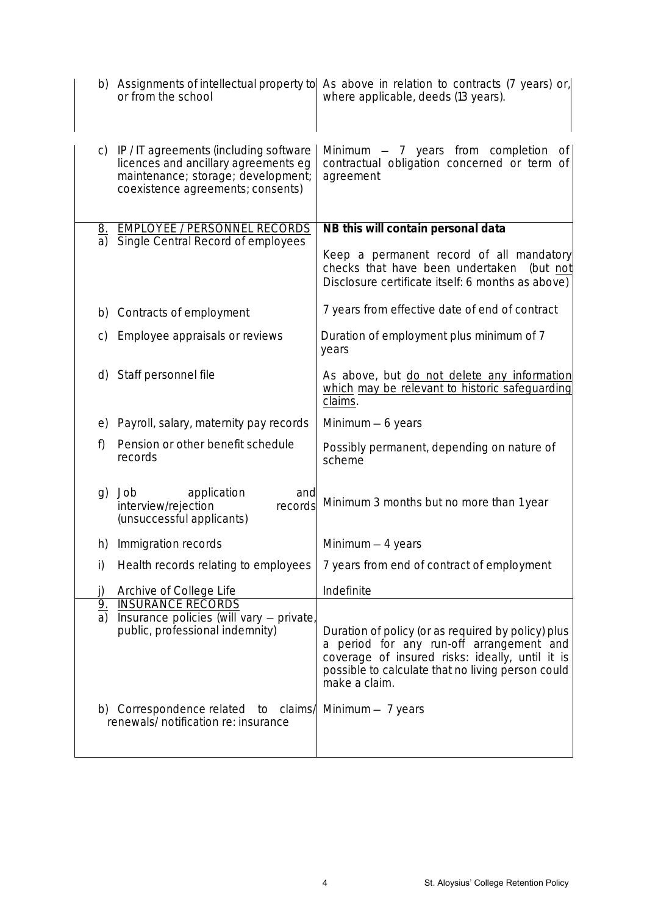|                 | or from the school                                                                                                                                      | b) Assignments of intellectual property to As above in relation to contracts (7 years) or,<br>where applicable, deeds (13 years).                                                                                       |
|-----------------|---------------------------------------------------------------------------------------------------------------------------------------------------------|-------------------------------------------------------------------------------------------------------------------------------------------------------------------------------------------------------------------------|
| C)              | IP/IT agreements (including software<br>licences and ancillary agreements eg<br>maintenance; storage; development;<br>coexistence agreements; consents) | Minimum $-$ 7 years from completion<br>0t<br>contractual obligation concerned or term of<br>agreement                                                                                                                   |
| <u>8.</u><br>a) | <b>EMPLOYEE / PERSONNEL RECORDS</b><br>Single Central Record of employees                                                                               | NB this will contain personal data                                                                                                                                                                                      |
|                 |                                                                                                                                                         | Keep a permanent record of all mandatory<br>checks that have been undertaken<br>(but not<br>Disclosure certificate itself: 6 months as above)                                                                           |
| b)              | Contracts of employment                                                                                                                                 | 7 years from effective date of end of contract                                                                                                                                                                          |
| $\mathsf{C}$    | Employee appraisals or reviews                                                                                                                          | Duration of employment plus minimum of 7<br>years                                                                                                                                                                       |
| d)              | Staff personnel file                                                                                                                                    | As above, but do not delete any information<br>which may be relevant to historic safeguarding<br>claims.                                                                                                                |
| $\Theta$        | Payroll, salary, maternity pay records                                                                                                                  | Minimum $-6$ years                                                                                                                                                                                                      |
| f)              | Pension or other benefit schedule<br>records                                                                                                            | Possibly permanent, depending on nature of<br>scheme                                                                                                                                                                    |
| g)              | Job<br>application<br>and<br>interview/rejection<br>records<br>(unsuccessful applicants)                                                                | Minimum 3 months but no more than 1 year                                                                                                                                                                                |
| h)              | Immigration records                                                                                                                                     | Minimum - 4 years                                                                                                                                                                                                       |
| i)              | Health records relating to employees                                                                                                                    | 7 years from end of contract of employment                                                                                                                                                                              |
| j)              | Archive of College Life                                                                                                                                 | Indefinite                                                                                                                                                                                                              |
| $\frac{9}{a}$   | <b>INSURANCE RECORDS</b><br>Insurance policies (will vary - private,<br>public, professional indemnity)                                                 | Duration of policy (or as required by policy) plus<br>a period for any run-off arrangement and<br>coverage of insured risks: ideally, until it is<br>possible to calculate that no living person could<br>make a claim. |
|                 | b) Correspondence related to claims/<br>renewals/ notification re: insurance                                                                            | Minimum $-$ 7 years                                                                                                                                                                                                     |